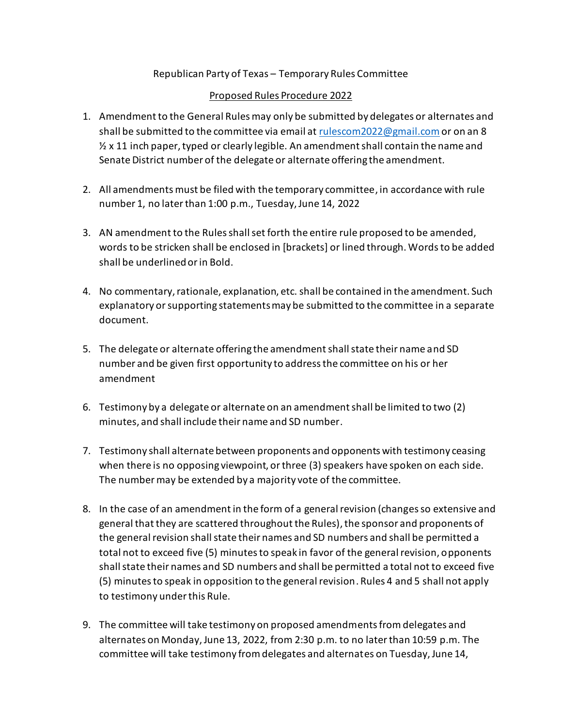## Republican Party of Texas – Temporary Rules Committee

## Proposed Rules Procedure 2022

- 1. Amendment to the General Rules may only be submitted by delegates or alternates and shall be submitted to the committee via email a[t rulescom2022@gmail.com](mailto:rulescom2022@gmail.com) or on an 8  $\frac{1}{2}$  x 11 inch paper, typed or clearly legible. An amendment shall contain the name and Senate District number of the delegate or alternate offering the amendment.
- 2. All amendments must be filed with the temporary committee, in accordance with rule number 1, no later than 1:00 p.m., Tuesday, June 14, 2022
- 3. AN amendment to the Rules shall set forth the entire rule proposed to be amended, words to be stricken shall be enclosed in [brackets] or lined through. Wordsto be added shall be underlined or in Bold.
- 4. No commentary, rationale, explanation, etc. shall be contained in the amendment. Such explanatory or supporting statements may be submitted to the committee in a separate document.
- 5. The delegate or alternate offering the amendment shall state their name and SD number and be given first opportunity to address the committee on his or her amendment
- 6. Testimony by a delegate or alternate on an amendment shall be limited to two (2) minutes, and shall include their name and SD number.
- 7. Testimony shall alternatebetween proponents and opponents with testimony ceasing when there is no opposing viewpoint, or three (3) speakers have spoken on each side. The number may be extended by a majority vote of the committee.
- 8. In the case of an amendment in the form of a general revision (changes so extensive and general that they are scattered throughout the Rules), the sponsor and proponents of the general revision shall state their names and SD numbers and shall be permitted a total not to exceed five (5) minutes to speak in favor of the general revision, opponents shall state their names and SD numbers and shall be permitted a total not to exceed five (5) minutes to speak in opposition to the general revision. Rules 4 and 5 shall not apply to testimony under this Rule.
- 9. The committee will take testimony on proposed amendments from delegates and alternates on Monday,June 13, 2022, from 2:30 p.m. to no later than 10:59 p.m. The committee will take testimony from delegates and alternates on Tuesday, June 14,